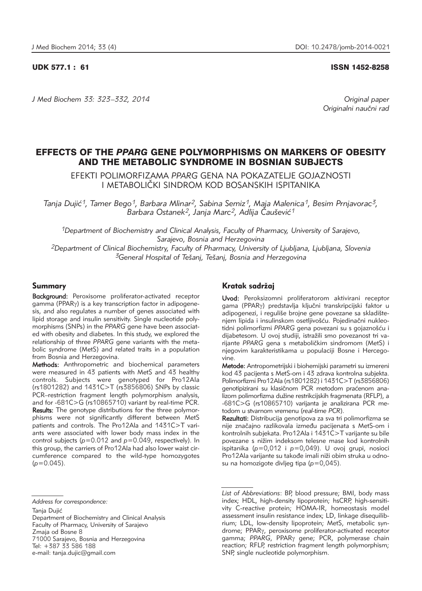UDK 577.1 : 61 ISSN 1452-8258

*J Med Biochem 33: 323–332, 2014 Original paper*

Originalni naučni rad

# EFFECTS OF THE *PPARG* GENE POLYMORPHISMS ON MARKERS OF OBESITY AND THE METABOLIC SYNDROME IN BOSNIAN SUBJECTS

EFEKTI POLIMORFIZAMA *PPARG* GENA NA POKAZATELJE GOJAZNOSTI I METABOLIČKI SINDROM KOD BOSANSKIH ISPITANIKA

*Tanja Duji}1, Tamer Bego1, Barbara Mlinar2, Sabina Semiz1, Maja Malenica1, Besim Prnjavorac3, Barbara Ostanek2, Janja Marc2, Adlija ^au{evi}1*

*1Department of Biochemistry and Clinical Analysis, Faculty of Pharmacy, University of Sarajevo, Sarajevo, Bosnia and Herzegovina 2Department of Clinical Biochemistry, Faculty of Pharmacy, University of Ljubljana, Ljubljana, Slovenia 3General Hospital of Te{anj, Te{anj, Bosnia and Herzegovina*

# Summary

Background: Peroxisome proliferator-activated receptor gamma (PPAR<sub>Y</sub>) is a key transcription factor in adipogenesis, and also regulates a number of genes associated with lipid storage and insulin sensitivity. Single nucleotide polymorphisms (SNPs) in the *PPARG* gene have been associated with obesity and diabetes. In this study, we explored the relationship of three *PPARG* gene variants with the metabolic syndrome (MetS) and related traits in a population from Bosnia and Herzegovina.

Methods: Anthropometric and biochemical parameters were measured in 43 patients with MetS and 43 healthy controls. Subjects were genotyped for Pro12Ala (rs1801282) and 1431C>T (rs3856806) SNPs by classic PCR–restriction fragment length polymorphism analysis, and for -681C>G (rs10865710) variant by real-time PCR. Results: The genotype distributions for the three polymorphisms were not significantly different between MetS patients and controls. The Pro12Ala and 1431C>T variants were associated with lower body mass index in the control subjects (*p*=0.012 and *p*=0.049, respectively). In this group, the carriers of Pro12Ala had also lower waist circumference compared to the wild-type homozygotes (*p*=0.045).

Tania Duiić

Department of Biochemistry and Clinical Analysis Faculty of Pharmacy, University of Sarajevo Zmaja od Bosne 8 71000 Sarajevo, Bosnia and Herzegovina Tel: +387 33 586 188

e-mail: tanja.dujic@gmail.com

## Kratak sadržai

Uvod: Peroksizomni proliferatorom aktivirani receptor gama (PPARy) predstavlja ključni transkripcijski faktor u adipogenezi, i reguliše brojne gene povezane sa skladištenjem lipida i insulinskom osetljivošću. Pojedinačni nukleotidni polimorfizmi PPARG gena povezani su s gojaznošću i dijabetesom. U ovoj studiji, istražili smo povezanost tri varijante PPARG gena s metaboličkim sindromom (MetS) i njegovim karakteristikama u populaciji Bosne i Hercegovine.

Metode: Antropometrijski i biohemijski parametri su izmereni kod 43 pacijenta s MetS-om i 43 zdrava kontrolna subjekta. Polimorfizmi Pro12Ala (rs1801282) i 1431C>T (rs3856806) genotipizirani su klasičnom PCR metodom praćenom analizom polimorfizma dužine restrikcijskih fragmenata (RFLP), a -681C>G (rs10865710) varijanta je analizirana PCR me todom u stvarnom vremenu (*real-time PCR*).

Rezultati: Distribucija genotipova za sva tri polimorfizma se nije značajno razlikovala između pacijenata s MetS-om i kontrolnih subjekata. Pro12Ala i 1431C>T varijante su bile povezane s nižim indeksom telesne mase kod kontrolnih ispitanika (*p*=0,012 i *p*=0,049). U ovoj grupi, nosioci Pro12Ala varijante su takođe imali niži obim struka u odnosu na homozigote divljeg tipa (*p*=0,045).

*Address for correspondence:*

*List of Abbreviations*: BP, blood pressure; BMI, body mass index; HDL, high-density lipoprotein; hsCRP, high-sensitivity C-reactive protein; HOMA-IR, homeostasis model assessment insulin resistance index; LD, linkage disequilibrium; LDL, low-density lipoprotein; MetS, metabolic syndrome; PPARg, peroxisome proliferator-activated receptor gamma; *PPARG*, PPARg gene; PCR, polymerase chain reaction; RFLP, restriction fragment length polymorphism; SNP, single nucleotide polymorphism.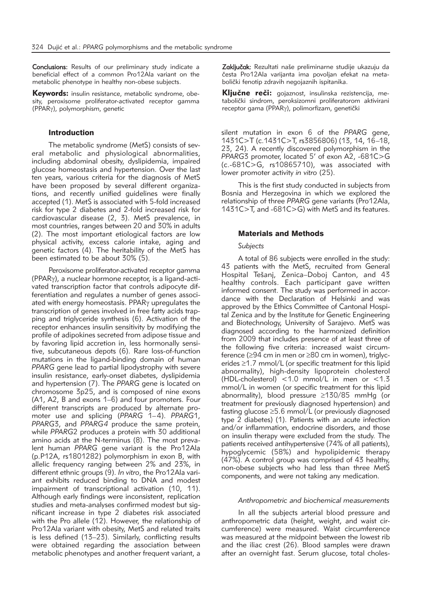Conclusions: Results of our preliminary study indicate a beneficial effect of a common Pro12Ala variant on the metabolic phenotype in healthy non-obese subjects.

Keywords: insulin resistance, metabolic syndrome, obesity, peroxisome proliferator-activated receptor gamma (PPARg), polymorphism, genetic

#### Introduction

The metabolic syndrome (MetS) consists of several metabolic and physiological abnormalities, including abdominal obesity, dyslipidemia, impaired glucose homeostasis and hypertension. Over the last ten years, various criteria for the diagnosis of MetS have been proposed by several different organizations, and recently unified guidelines were finally accepted (1). MetS is associated with 5-fold increased risk for type 2 diabetes and 2-fold increased risk for cardiovascular disease (2, 3). MetS prevalence, in most countries, ranges between 20 and 30% in adults (2). The most important etiological factors are low physical activity, excess calorie intake, aging and genetic factors (4). The heritability of the MetS has been estimated to be about 30% (5).

Peroxisome proliferator-activated receptor gamma (PPARg), a nuclear hormone receptor, is a ligand-activated transcription factor that controls adipocyte differentiation and regulates a number of genes associated with energy homeostasis. PPAR<sub>y</sub> upregulates the transcription of genes involved in free fatty acids trapping and triglyceride synthesis (6). Activation of the receptor enhances insulin sensitivity by modifying the profile of adipokines secreted from adipose tissue and by favoring lipid accretion in, less hormonally sensitive, subcutaneous depots (6). Rare loss-of-function mutations in the ligand-binding domain of human *PPARG* gene lead to partial lipodystrophy with severe insulin resistance, early-onset diabetes, dyslipidemia and hypertension (7). The *PPARG* gene is located on chromosome 3p25, and is composed of nine exons (A1, A2, B and exons 1–6) and four promoters. Four different transcripts are produced by alternate promoter use and splicing (*PPARG* 1–4). *PPARG*1, *PPARG*3, and *PPARG4* produce the same protein, while *PPARG*2 produces a protein with 30 additional amino acids at the N-terminus (8). The most prevalent human *PPARG* gene variant is the Pro12Ala (p.P12A, rs1801282) polymorphism in exon B, with allelic frequency ranging between 2% and 23%, in different ethnic groups (9). *In vitro*, the Pro12Ala variant exhibits reduced binding to DNA and modest impairment of transcriptional activation (10, 11). Although early findings were inconsistent, replication studies and meta-analyses confirmed modest but significant increase in type 2 diabetes risk associated with the Pro allele  $(12)$ . However, the relationship of Pro12Ala variant with obesity, MetS and related traits is less defined (13–23). Similarly, conflicting results were obtained regarding the association between metabolic phenotypes and another frequent variant, a

Zaključak: Rezultati naše preliminarne studije ukazuju da česta Pro12Ala varijanta ima povoljan efekat na metabolički fenotip zdravih negojaznih ispitanika.

Ključne reči: gojaznost, insulinska rezistencija, metabolički sindrom, peroksizomni proliferatorom aktivirani receptor gama (PPAR<sub>Y</sub>), polimorfizam, genetički

silent mutation in exon 6 of the *PPARG* gene, 1431C>T (c.1431C>T, rs3856806) (13, 14, 16–18, 23, 24). A recently discovered polymorphism in the *PPARG*3 promoter, located 5' of exon A2, -681C>G (c.-681C>G, rs10865710), was associated with lower promoter activity *in vitro* (25).

This is the first study conducted in subjects from Bosnia and Herzegovina in which we explored the relationship of three *PPARG* gene variants (Pro12Ala, 1431C>T, and -681C>G) with MetS and its features.

#### Materials and Methods

#### *Subjects*

A total of 86 subjects were enrolled in the study: 43 patients with the MetS, recruited from General Hospital Tešanj, Zenica-Doboj Canton, and 43 healthy controls. Each participant gave written informed consent. The study was performed in accordance with the Declaration of Helsinki and was approved by the Ethics Committee of Cantonal Hospital Zenica and by the Institute for Genetic Engineering and Biotechnology, University of Sarajevo. MetS was diagnosed according to the harmonized definition from 2009 that includes presence of at least three of the following five criteria: increased waist circumference (≥94 cm in men or ≥80 cm in women), triglycerides ≥1.7 mmol/L (or specific treatment for this lipid abnormality), high-density lipoprotein cholesterol (HDL-cholesterol) <1.0 mmol/L in men or <1.3 mmol/L in women (or specific treatment for this lipid abnormality), blood pressure ≥130/85 mmHg (or treatment for previously diagnosed hypertension) and fasting glucose ≥5.6 mmol/L (or previously diagnosed type 2 diabetes) (1). Patients with an acute infection and/or inflammation, endocrine disorders, and those on insulin therapy were excluded from the study. The patients received antihypertensive (74% of all patients), hypoglycemic (58%) and hypolipidemic therapy (47%). A control group was comprised of 43 healthy, non-obese subjects who had less than three MetS components, and were not taking any medication.

### *Anthropometric and biochemical measurements*

In all the subjects arterial blood pressure and anthropometric data (height, weight, and waist circumference) were measured. Waist circumference was measured at the midpoint between the lowest rib and the iliac crest (26). Blood samples were drawn after an overnight fast. Serum glucose, total choles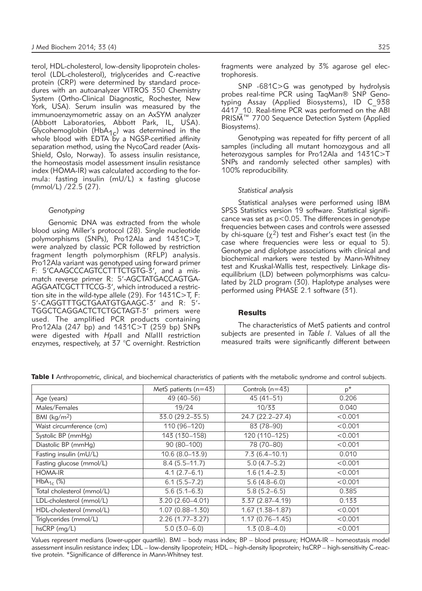terol, HDL-cholesterol, low-density lipoprotein cholesterol (LDL-cholesterol), triglycerides and C-reactive protein (CRP) were determined by standard procedures with an autoanalyzer VITROS 350 Chemistry System (Ortho-Clinical Diagnostic*,* Rochester, New York, USA). Serum insulin was measured by the immunoenzymometric assay on an AxSYM analyzer (Abbott Laboratories*,* Abbott Park, IL, USA). Glycohemoglobin (HbA<sub>1c</sub>) was determined in the whole blood with EDTA by a NGSP-certified affinity separation method, using the NycoCard reader (Axis-Shield, Oslo, Norway). To assess insulin resistance, the homeostasis model assessment insulin resistance index (HOMA-IR) was calculated according to the formula: fasting insulin (mU/L) x fasting glucose (mmol/L) /22.5 (27).

### *Genotyping*

Genomic DNA was extracted from the whole blood using Miller's protocol (28). Single nucleotide polymorphisms (SNPs), Pro12Ala and 1431C>T, were analyzed by classic PCR followed by restriction fragment length polymorphism (RFLP) analysis. Pro12Ala variant was genotyped using forward primer F: 5'CAAGCCCAGTCCTTTCTGTG-3', and a mismatch reverse primer R: 5'-AGCTATGACCAGTGA-AGGAATCGCTTTCCG-3', which introduced a restriction site in the wild-type allele (29). For 1431C>T, F: 5'-CAGGTTTGCTGAATGTGAAGC-3' and R: 5'- TGGCTCAGGACTCTCTGCTAGT-3' primers were used. The amplified PCR products containing Pro12Ala (247 bp) and 1431C>T (259 bp) SNPs were digested with *Hpa*II and *Nla*III restriction enzymes, respectively, at 37 °C overnight. Restriction

fragments were analyzed by 3% agarose gel electrophoresis.

SNP -681C>G was genotyped by hydrolysis probes real-time PCR using TaqMan® SNP Genotyping Assay (Applied Biosystems), ID C\_938  $4417$  10. Real-time PCR was performed on the ABI PRISM™ 7700 Sequence Detection System (Applied Biosystems).

Genotyping was repeated for fifty percent of all samples (including all mutant homozygous and all heterozygous samples for Pro12Ala and 1431C>T SNPs and randomly selected other samples) with 100% reproducibility.

### *Statistical analysis*

Statistical analyses were performed using IBM SPSS Statistics version 19 software. Statistical significance was set as p<0.05. The differences in genotype frequencies between cases and controls were assessed by chi-square  $(\chi^2)$  test and Fisher's exact test (in the case where frequencies were less or equal to 5). Genotype and diplotype associations with clinical and biochemical markers were tested by Mann-Whitney test and Kruskal-Wallis test, respectively. Linkage disequilibrium (LD) between polymorphisms was calculated by 2LD program (30). Haplotype analyses were performed using PHASE 2.1 software (31).

#### **Results**

The characteristics of MetS patients and control subjects are presented in *Table I*. Values of all the measured traits were significantly different between

|                                | MetS patients $(n=43)$ | Controls $(n=43)$   | $p^*$   |
|--------------------------------|------------------------|---------------------|---------|
| Age (years)                    | 49 (40-56)             | $45(41-51)$         | 0.206   |
| Males/Females                  | 19/24                  | 10/33               | 0.040   |
| BMI ( $\text{kg}/\text{m}^2$ ) | 33.0 (29.2-35.5)       | 24.7 (22.2-27.4)    | < 0.001 |
| Waist circumference (cm)       | 110 (96-120)           | 83 (78-90)          | < 0.001 |
| Systolic BP (mmHg)             | 143 (130-158)          | 120 (110-125)       | < 0.001 |
| Diastolic BP (mmHg)            | 90 (80-100)            | 78 (70-80)          | < 0.001 |
| Fasting insulin (mU/L)         | $10.6(8.0-13.9)$       | $7.3(6.4 - 10.1)$   | 0.010   |
| Fasting glucose (mmol/L)       | $8.4(5.5 - 11.7)$      | $5.0(4.7-5.2)$      | < 0.001 |
| <b>HOMA-IR</b>                 | $4.1(2.7-6.1)$         | $1.6(1.4-2.3)$      | < 0.001 |
| $HbA_{1c}$ (%)                 | $6.1(5.5 - 7.2)$       | $5.6(4.8-6.0)$      | < 0.001 |
| Total cholesterol (mmol/L)     | $5.6(5.1 - 6.3)$       | $5.8(5.2 - 6.5)$    | 0.385   |
| LDL-cholesterol (mmol/L)       | 3.20 (2.60-4.01)       | 3.37 (2.87-4.19)    | 0.133   |
| HDL-cholesterol (mmol/L)       | $1.07(0.88 - 1.30)$    | $1.67(1.38 - 1.87)$ | < 0.001 |
| Triglycerides (mmol/L)         | $2.26(1.77 - 3.27)$    | $1.17(0.76 - 1.45)$ | < 0.001 |
| $hsCRP$ (mg/L)                 | $5.0(3.0-6.0)$         | $1.3(0.8-4.0)$      | < 0.001 |

Table I Anthropometric, clinical, and biochemical characteristics of patients with the metabolic syndrome and control subjects.

Values represent medians (lower-upper quartile). BMI – body mass index; BP – blood pressure; HOMA-IR – homeostasis model assessment insulin resistance index; LDL – low-density lipoprotein; HDL – high-density lipoprotein; hsCRP – high-sensitivity C-reactive protein. \*Significance of difference in Mann-Whitney test.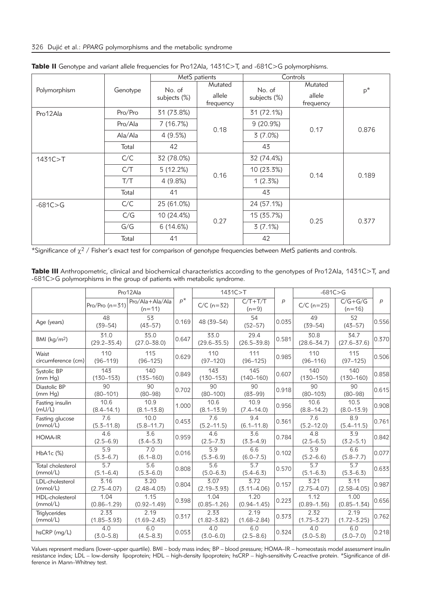|              |          | MetS patients |           | Controls     |           |       |
|--------------|----------|---------------|-----------|--------------|-----------|-------|
| Polymorphism | Genotype | No. of        | Mutated   | No. of       | Mutated   | $p^*$ |
|              |          | subjects (%)  | allele    | subjects (%) | allele    |       |
|              |          |               | frequency |              | frequency |       |
| Pro12Ala     | Pro/Pro  | 31 (73.8%)    |           | 31 (72.1%)   |           |       |
|              | Pro/Ala  | 7 (16.7%)     | 0.18      | $9(20.9\%)$  | 0.17      | 0.876 |
|              | Ala/Ala  | 4(9.5%)       |           | 3(7.0%)      |           |       |
|              | Total    | 42            |           | 43           |           |       |
| 1431C > T    | C/C      | 32 (78.0%)    | 0.16      | 32 (74.4%)   | 0.14      | 0.189 |
|              | C/T      | 5(12.2%)      |           | 10 (23.3%)   |           |       |
|              | T/T      | 4(9.8%)       |           | 1(2.3%)      |           |       |
|              | Total    | 41            |           | 43           |           |       |
| $-681C > G$  | C/C      | 25 (61.0%)    |           | 24 (57.1%)   |           |       |
|              | C/G      | 10 (24.4%)    | 0.27      | 15 (35.7%)   | 0.25      | 0.377 |
|              | G/G      | 6(14.6%)      |           | 3(7.1%)      |           |       |
|              | Total    | 41            |           | 42           |           |       |

Table II Genotype and variant allele frequencies for Pro12Ala, 1431C>T, and -681C>G polymorphisms.

\*Significance of  $\chi^2$  / Fisher's exact test for comparison of genotype frequencies between MetS patients and controls.

| Pro12Ala                           |                                   |                             | 1431C>T |                                   |                                   | $-681C > G$  |                                   |                                   |       |
|------------------------------------|-----------------------------------|-----------------------------|---------|-----------------------------------|-----------------------------------|--------------|-----------------------------------|-----------------------------------|-------|
|                                    | Pro/Pro $(n=31)$                  | Pro/Ala+Ala/Ala<br>$(n=11)$ | $p^*$   | $C/C$ (n=32)                      | $C/T+T/T$<br>$(n=9)$              | $\mathsf{p}$ | $C/C$ (n=25)                      | $C/G+G/G$<br>$(n=16)$             | p     |
| Age (years)                        | 48<br>$(39 - 54)$                 | 53<br>$(43 - 57)$           | 0.169   | 48 (39-54)                        | 54<br>$(52 - 57)$                 | 0.035        | 49<br>$(39 - 54)$                 | 52<br>$(43 - 57)$                 | 0.556 |
| BMI (kg/m <sup>2</sup> )           | 31.0<br>$(29.2 - 35.4)$           | 35.0<br>$(27.0 - 38.0)$     | 0.647   | 33.0<br>$(29.6 - 35.5)$           | 29.4<br>$(26.5 - 39.8)$           | 0.581        | 30.8<br>$(28.6 - 34.7)$           | 34.7<br>$(27.6 - 37.6)$           | 0.370 |
| Waist<br>circumference (cm)        | 110<br>$(96 - 119)$               | 115<br>$(96 - 125)$         | 0.629   | 110<br>$(97 - 120)$               | 111<br>$(96 - 125)$               | 0.985        | 110<br>$(96 - 116)$               | 115<br>$(97 - 125)$               | 0.506 |
| Systolic BP<br>(mm Hq)             | 143<br>$(130 - 153)$              | 140<br>$(135 - 160)$        | 0.849   | 143<br>$(130 - 153)$              | 145<br>$(140 - 160)$              | 0.607        | 140<br>$(130 - 150)$              | 140<br>$(130 - 160)$              | 0.858 |
| Diastolic BP<br>(mm Hq)            | 90<br>$(80 - 101)$                | 90<br>$(80 - 98)$           | 0.702   | 90<br>$(80 - 100)$                | 90<br>$(83 - 99)$                 | 0.918        | 90<br>$(80 - 103)$                | 90<br>$(80 - 98)$                 | 0.615 |
| Fasting insulin<br>(mU/L)          | 10.6<br>$(8.4 - 14.1)$            | 10.9<br>$(8.1 - 13.8)$      | 1.000   | 10.6<br>$(8.1 - 13.9)$            | 10.9<br>$(7.4 - 14.0)$            | 0.956        | 10.6<br>$(8.8 - 14.2)$            | 10.5<br>$(8.0 - 13.9)$            | 0.908 |
| Fasting glucose<br>(mmol/L)        | 7.6<br>$(5.3 - 11.8)$             | 10.0<br>$(5.8 - 11.7)$      | 0.453   | 7.6<br>$(5.2 - 11.5)$             | 9.4<br>$(6.1 - 11.8)$             | 0.361        | 7.6<br>$(5.2 - 12.0)$             | 8.9<br>$(5.4 - 11.5)$             | 0.761 |
| <b>HOMA-IR</b>                     | 4.6<br>$(2.5 - 6.9)$              | 3.6<br>$(3.4 - 5.3)$        | 0.959   | 4.6<br>$(2.5 - 7.3)$              | 3.6<br>$(3.3 - 4.9)$              | 0.784        | 4.8<br>$(2.5 - 6.5)$              | 3.9<br>$(3.2 - 5.1)$              | 0.842 |
| $HbA1c$ $(\%)$                     | 5.9<br>$(5.3 - 6.7)$              | 7.0<br>$(6.1 - 8.0)$        | 0.016   | 5.9<br>$(5.3 - 6.9)$              | 6.6<br>$(6.0 - 7.5)$              | 0.102        | 5.9<br>$(5.2 - 6.6)$              | 6.6<br>$(5.8 - 7.7)$              | 0.077 |
| Total cholesterol<br>(mmol/L)      | $\overline{5.7}$<br>$(5.1 - 6.4)$ | 5.6<br>$(5.3 - 6.0)$        | 0.808   | $\overline{5.6}$<br>$(5.0 - 6.3)$ | $\overline{5.7}$<br>$(5.4 - 6.3)$ | 0.570        | $\overline{5.7}$<br>$(5.1 - 6.3)$ | $\overline{5.7}$<br>$(5.3 - 6.3)$ | 0.633 |
| LDL-cholesterol<br>(mmol/L)        | 3.16<br>$(2.75 - 4.07)$           | 3.20<br>$(2.48 - 4.03)$     | 0.804   | 3.07<br>$(2.19 - 3.93)$           | 3.72<br>$(3.11 - 4.06)$           | 0.157        | 3.21<br>$(2.75 - 4.07)$           | 3.11<br>$(2.58 - 4.05)$           | 0.987 |
| <b>HDL-cholesterol</b><br>(mmol/L) | 1.04<br>$(0.86 - 1.29)$           | 1.15<br>$(0.92 - 1.49)$     | 0.398   | 1.04<br>$(0.85 - 1.26)$           | 1.20<br>$(0.94 - 1.45)$           | 0.223        | 1.12<br>$(0.89 - 1.36)$           | 1.00<br>$(0.85 - 1.34)$           | 0.656 |
| <b>Triglycerides</b><br>(mmol/L)   | 2.33<br>$(1.85 - 3.93)$           | 2.19<br>$(1.69 - 2.43)$     | 0.317   | 2.33<br>$(1.82 - 3.82)$           | 2.19<br>$(1.68 - 2.84)$           | 0.373        | 2.32<br>$(1.75 - 3.27)$           | 2.19<br>$(1.72 - 3.25)$           | 0.762 |
| $hsCRP$ ( $mq/L$ )                 | 4.0<br>$(3.0 - 5.8)$              | 6.0<br>$(4.5 - 8.3)$        | 0.053   | 4.0<br>$(3.0 - 6.0)$              | 6.0<br>$(2.5 - 8.6)$              | 0.324        | 4.0<br>$(3.0 - 5.8)$              | 6.0<br>$(3.0 - 7.0)$              | 0.218 |

Table III Anthropometric, clinical and biochemical characteristics according to the genotypes of Pro12Ala, 1431C>T, and -681C>G polymorphisms in the group of patients with metabolic syndrome.

Values represent medians (lower–upper quartile). BMI – body mass index; BP – blood pressure; HOMA–IR – homeostasis model assessment insulin resistance index; LDL – low-density lipoprotein; HDL – high-density lipoprotein; hsCRP – high-sensitivity C-reactive protein. \*Significance of difference in Mann–Whitney test.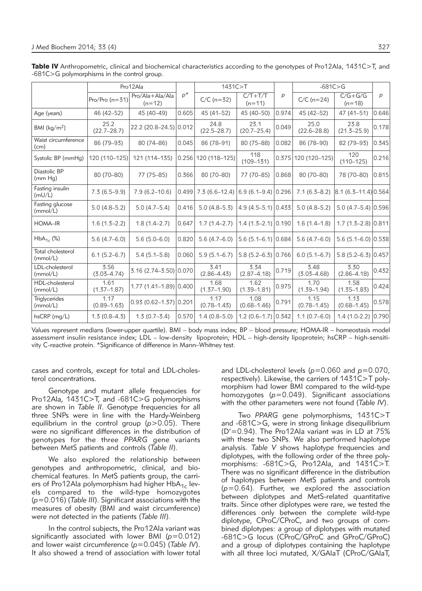|                                  | Pro12Ala                |                             |       | 1431C>T                 |                         |                  | $-681C > G$             |                                  |       |
|----------------------------------|-------------------------|-----------------------------|-------|-------------------------|-------------------------|------------------|-------------------------|----------------------------------|-------|
|                                  | Pro/Pro $(n=31)$        | Pro/Ala+Ala/Ala<br>$(n=12)$ | $p^*$ | $C/C$ (n=32)            | $C/T+T/T$<br>$(n=11)$   | $\boldsymbol{p}$ | $C/C$ (n=24)            | $\overline{C/G+G}/G$<br>$(n=18)$ | p     |
| Age (years)                      | 46 (42-52)              | 45 (40-49)                  | 0.605 | 45 (41-52)              | 45 (40-50)              | 0.974            | 45 (42-52)              | $47(41 - 51)$                    | 0.646 |
| BMI ( $kg/m2$ )                  | 25.2<br>$(22.7 - 28.7)$ | 22.2 (20.8-24.5) 0.012      |       | 24.8<br>$(22.5 - 28.7)$ | 23.1<br>$(20.7 - 25.4)$ | 0.049            | 25.0<br>$(22.6 - 28.8)$ | 23.8<br>$(21.5 - 25.9)$          | 0.178 |
| Waist circumference<br>(cm)      | 86 (79-93)              | 80 (74-86)                  | 0.045 | 86 (78-91)              | 80 (75-88)              | 0.082            | 86 (78-90)              | 82 (79-93)                       | 0.345 |
| Systolic BP (mmHg)               | 120 (110-125)           | 121 (114-135)               | 0.256 | 120 (118-125)           | 118<br>$(109 - 131)$    | 0.375            | 120 (120-125)           | 120<br>$(110 - 125)$             | 0.216 |
| Diastolic BP<br>(mm Hq)          | 80 (70-80)              | 77 (75-85)                  | 0.366 | 80 (70-80)              | 77 (70-85)              | 0.868            | 80 (70-80)              | 78 (70-80)                       | 0.815 |
| Fasting insulin<br>(mU/L)        | $7.3(6.5-9.9)$          | $7.9(6.2 - 10.6)$           | 0.499 | $7.3(6.6-12.4)$         | $6.9(6.1 - 9.4)0.296$   |                  | $7.1(6.3 - 8.2)$        | $ 8.1 (6.3 - 11.4) 0.564 $       |       |
| Fasting glucose<br>(mmol/L)      | $5.0(4.8-5.2)$          | $5.0(4.7-5.4)$              | 0.416 | $5.0(4.8-5.3)$          | $4.9(4.5-5.1)$ 0.433    |                  | $5.0(4.8-5.2)$          | $5.0(4.7-5.4)$ 0.596             |       |
| HOMA-IR                          | $1.6(1.5-2.2)$          | $1.8(1.4 - 2.7)$            | 0.647 | $1.7(1.4-2.7)$          | $1.4(1.5-2.1)$ 0.190    |                  | $1.6(1.4-1.8)$          | $1.7(1.5-2.8)$ 0.811             |       |
| $HbA_{1c}$ (%)                   | $5.6(4.7-6.0)$          | $5.6(5.0 - 6.0)$            | 0.820 | $5.6(4.7-6.0)$          | $5.6(5.1 - 6.1)$ 0.684  |                  | $5.6(4.7-6.0)$          | $5.6$ (5.1-6.0) 0.538            |       |
| Total cholesterol<br>(mmol/L)    | $6.1(5.2 - 6.7)$        | $5.4(5.1 - 5.8)$            | 0.060 | $5.9(5.1 - 6.7)$        | $5.8(5.2 - 6.3)$ 0.766  |                  | $6.0(5.1 - 6.7)$        | 5.8 (5.2-6.3) 0.457              |       |
| LDL-cholesterol<br>(mmol/L)      | 3.56<br>$(3.03 - 4.74)$ | 3.16 (2.74 - 3.50) 0.070    |       | 3.41<br>$(2.86 - 4.43)$ | 3.34<br>$(2.87 - 4.18)$ | 0.719            | 3.48<br>$(3.03 - 4.68)$ | 3.30<br>$(2.86 - 4.18)$          | 0.432 |
| HDL-cholesterol<br>(mmol/L)      | 1.61<br>$(1.37 - 1.87)$ | $1.77(1.41 - 1.89)$ 0.400   |       | 1.68<br>$(1.37 - 1.90)$ | 1.62<br>$(1.39 - 1.81)$ | 0.975            | 1.70<br>$(1.39 - 1.94)$ | 1.58<br>$(1.35 - 1.83)$          | 0.424 |
| <b>Triglycerides</b><br>(mmol/L) | 1.17<br>$(0.89 - 1.63)$ | $0.93(0.62 - 1.37)[0.201]$  |       | 1.17<br>$(0.78 - 1.43)$ | 1.08<br>$(0.68 - 1.46)$ | 0.791            | 1.15<br>$(0.78 - 1.45)$ | 1.13<br>$(0.68 - 1.45)$          | 0.578 |
| hsCRP (mg/L)                     | $1.3(0.8-4.3)$          | $1.3(0.7-3.4)$              | 0.570 | $1.4(0.8 - 5.0)$        | $1.2(0.6-1.7)$          | 0.342            | $1.1(0.7-6.0)$          | $1.4(1.0-2.2)$                   | 0.790 |

Table IV Anthropometric, clinical and biochemical characteristics according to the genotypes of Pro12Ala, 1431C>T, and -681C>G polymorphisms in the control group.

Values represent medians (lower-upper quartile). BMI – body mass index; BP – blood pressure; HOMA-IR – homeostasis model assessment insulin resistance index; LDL – low-density lipoprotein; HDL – high-density lipoprotein; hsCRP – high-sensitivity C-reactive protein. \*Significance of difference in Mann–Whitney test.

cases and controls, except for total and LDL-cholesterol concentrations.

Genotype and mutant allele frequencies for Pro12Ala, 1431C>T, and -681C>G polymorphisms are shown in *Table II*. Genotype frequencies for all three SNPs were in line with the Hardy-Weinberg equilibrium in the control group (*p*>0.05). There were no significant differences in the distribution of genotypes for the three *PPARG* gene variants between MetS patients and controls (*Table II*).

We also explored the relationship between genotypes and anthropometric, clinical, and biochemical features. In MetS patients group, the carriers of Pro12Ala polymorphism had higher  $HbA_{1c}$  levels compared to the wild-type homozygotes (*p*=0.016) (*Table III*). Significant associations with the measures of obesity (BMI and waist circumference) were not detected in the patients (*Table III*).

In the control subjects, the Pro12Ala variant was significantly associated with lower BMI (*p*=0.012) and lower waist circumference (*p*=0.045) (*Table IV*). It also showed a trend of association with lower total and LDL-cholesterol levels (*p*=0.060 and *p*=0.070, respectively). Likewise, the carriers of 1431C>T polymorphism had lower BMI compared to the wild-type homozygotes (*p*=0.049). Significant associations with the other parameters were not found (*Table IV*).

Two *PPARG* gene polymorphisms, 1431C>T and -681C>G, were in strong linkage disequilibrium  $(D' = 0.94)$ . The Pro12Ala variant was in LD at 75% with these two SNPs. We also performed haplotype analysis. *Table V* shows haplotype frequencies and diplotypes, with the following order of the three polymorphisms: -681C>G, Pro12Ala, and 1431C>T. There was no significant difference in the distribution of haplotypes between MetS patients and controls (*p*=0.64). Further, we explored the association between diplotypes and MetS-related quantitative traits. Since other diplotypes were rare, we tested the differences only between the complete wild-type diplotype, CProC/CProC, and two groups of combined diplotypes: a group of diplotypes with mutated -681C>G locus (CProC/GProC and GProC/GProC) and a group of diplotypes containing the haplotype with all three loci mutated, X/GAlaT (CProC/GAlaT,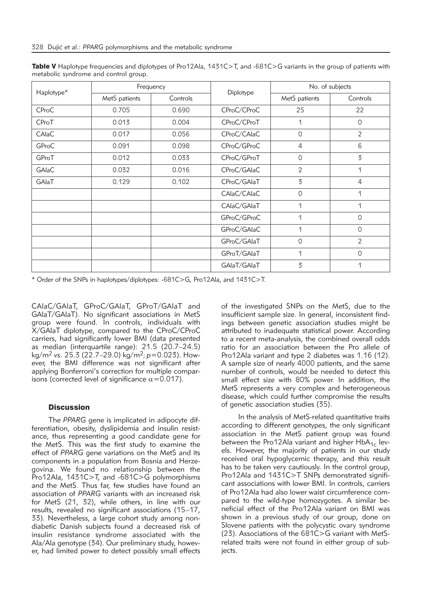| Haplotype*   |               | Frequency | Diplotype   | No. of subjects |                |  |
|--------------|---------------|-----------|-------------|-----------------|----------------|--|
|              | MetS patients | Controls  |             | MetS patients   | Controls       |  |
| <b>CProC</b> | 0.705         | 0.690     | CProC/CProC | 25              | 22             |  |
| CProT        | 0.013         | 0.004     | CProC/CProT | 1               | $\overline{0}$ |  |
| CAIaC        | 0.017         | 0.056     | CProC/CAIaC | 0               | $\overline{2}$ |  |
| GProC        | 0.091         | 0.098     | CProC/GProC | $\overline{4}$  | 6              |  |
| GProT        | 0.012         | 0.033     | CProC/GProT | $\mathsf{O}$    | 3              |  |
| GAIaC        | 0.032         | 0.016     | CProC/GAIaC | $\overline{2}$  | 1              |  |
| GAIaT        | 0.129         | 0.102     | CProC/GAIaT | 3               | 4              |  |
|              |               |           | CAlaC/CAlaC | $\circ$         | 1              |  |
|              |               |           | CAlaC/GAlaT | 1               | 1              |  |
|              |               |           | GProC/GProC | 1               | 0              |  |
|              |               |           | GProC/GAIaC | 1               | $\Omega$       |  |
|              |               |           | GProC/GAIaT | 0               | $\overline{2}$ |  |
|              |               |           | GProT/GAIaT | 1               | $\Omega$       |  |
|              |               |           | GAIaT/GAIaT | 3               | 1              |  |

Table V Haplotype frequencies and diplotypes of Pro12Ala, 1431C>T, and -681C>G variants in the group of patients with metabolic syndrome and control group.

\* Order of the SNPs in haplotypes/diplotypes: -681C>G, Pro12Ala, and 1431C>T.

CAlaC/GAlaT, GProC/GAlaT, GProT/GAlaT and GAlaT/GAlaT). No significant associations in MetS group were found. In controls, individuals with X/GAlaT diplotype, compared to the CProC/CProC carriers, had significantly lower BMI (data presented as median (interquartile range): 21.5 (20.7–24.5) kg/m2 *vs*. 25.3 (22.7–29.0) kg/m2; *p*=0.023). How ever, the BMI difference was not significant after applying Bonferroni's correction for multiple comparisons (corrected level of significance  $\alpha$ =0.017).

### **Discussion**

The *PPARG* gene is implicated in adipocyte differentiation, obesity, dyslipidemia and insulin resistance, thus representing a good candidate gene for the MetS. This was the first study to examine the effect of *PPARG* gene variations on the MetS and its components in a population from Bosnia and Herzegovina. We found no relationship between the Pro12Ala, 1431C>T, and -681C>G polymorphisms and the MetS. Thus far, few studies have found an association of *PPARG* variants with an increased risk for MetS (21, 32), while others, in line with our results, revealed no significant associations (15–17, 33). Nevertheless, a large cohort study among nondiabetic Danish subjects found a decreased risk of insulin resistance syndrome associated with the Ala/Ala genotype (34). Our preliminary study, however, had limited power to detect possibly small effects

of the investigated SNPs on the MetS, due to the insufficient sample size. In general, inconsistent findings between genetic association studies might be attributed to inadequate statistical power. According to a recent meta-analysis, the combined overall odds ratio for an association between the Pro allele of Pro12Ala variant and type 2 diabetes was 1.16 (12). A sample size of nearly 4000 patients, and the same number of controls, would be needed to detect this small effect size with 80% power. In addition, the MetS represents a very complex and heterogeneous disease, which could further compromise the results of genetic association studies (35).

In the analysis of MetS-related quantitative traits according to different genotypes, the only significant association in the MetS patient group was found between the Pro12Ala variant and higher  $HbA_{1c}$  levels. However, the majority of patients in our study received oral hypoglycemic therapy, and this result has to be taken very cautiously. In the control group, Pro12Ala and 1431C>T SNPs demonstrated significant associations with lower BMI. In controls, carriers of Pro12Ala had also lower waist circumference compared to the wild-type homozygotes. A similar beneficial effect of the Pro12Ala variant on BMI was shown in a previous study of our group, done on Slovene patients with the polycystic ovary syndrome  $(23)$ . Associations of the 681C $>$ G variant with MetSrelated traits were not found in either group of subjects.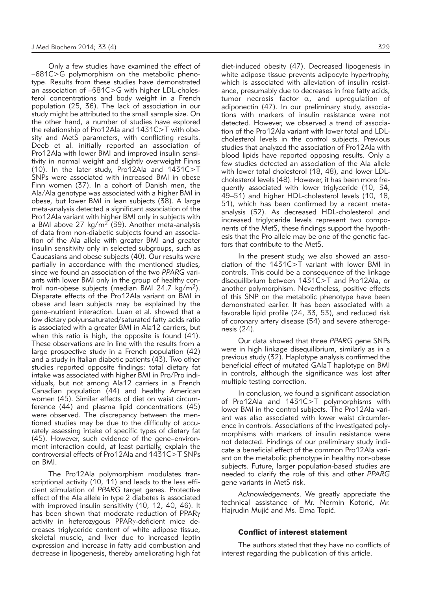Only a few studies have examined the effect of –681C>G polymorphism on the metabolic phenotype. Results from these studies have demonstrated an association of –681C>G with higher LDL-cholesterol concentrations and body weight in a French population (25, 36). The lack of association in our study might be attributed to the small sample size. On the other hand, a number of studies have explored the relationship of Pro12Ala and 1431C>T with obesity and MetS parameters, with conflicting results. Deeb et al*.* initially reported an association of Pro12Ala with lower BMI and improved insulin sensitivity in normal weight and slightly overweight Finns (10). In the later study, Pro12Ala and 1431C>T SNPs were associated with increased BMI in obese Finn women (37). In a cohort of Danish men, the Ala/Ala genotype was associated with a higher BMI in obese, but lower BMI in lean subjects (38). A large meta-analysis detected a significant association of the Pro12Ala variant with higher BMI only in subjects with a BMI above  $27 \text{ kg/m}^2$  (39). Another meta-analysis of data from non-diabetic subjects found an association of the Ala allele with greater BMI and greater insulin sensitivity only in selected subgroups, such as Caucasians and obese subjects (40). Our results were partially in accordance with the mentioned studies, since we found an association of the two *PPARG* variants with lower BMI only in the group of healthy control non-obese subjects (median BMI 24.7 kg/m2). Disparate effects of the Pro12Ala variant on BMI in obese and lean subjects may be explained by the gene–nutrient interaction. Luan et al. showed that a low dietary polyunsaturated/saturated fatty acids ratio is associated with a greater BMI in Ala12 carriers, but when this ratio is high, the opposite is found (41). These observations are in line with the results from a large prospective study in a French population (42) and a study in Italian diabetic patients (43). Two other studies reported opposite findings: total dietary fat intake was associated with higher BMI in Pro/Pro individuals, but not among Ala12 carriers in a French Canadian population  $(44)$  and healthy American women (45). Similar effects of diet on waist circumference (44) and plasma lipid concentrations (45) were observed. The discrepancy between the mentioned studies may be due to the difficulty of accurately assessing intake of specific types of dietary fat (45). However, such evidence of the gene–environment interaction could, at least partially, explain the controversial effects of Pro12Ala and 1431C>T SNPs on BMI.

The Pro12Ala polymorphism modulates transcriptional activity (10, 11) and leads to the less efficient stimulation of *PPARG* target genes. Protective effect of the Ala allele in type 2 diabetes is associated with improved insulin sensitivity (10, 12, 40, 46). It has been shown that moderate reduction of PPAR<sub>y</sub> activity in heterozygous PPARy-deficient mice decreases triglyceride content of white adipose tissue, skeletal muscle, and liver due to increased leptin expression and increase in fatty acid combustion and decrease in lipogenesis, thereby ameliorating high fat

diet-induced obesity (47). Decreased lipogenesis in white adipose tissue prevents adipocyte hypertrophy, which is associated with alleviation of insulin resistance, presumably due to decreases in free fatty acids, tumor necrosis factor  $\alpha$ , and upregulation of adiponectin (47). In our preliminary study, associations with markers of insulin resistance were not detected. However, we observed a trend of association of the Pro12Ala variant with lower total and LDLcholesterol levels in the control subjects. Previous studies that analyzed the association of Pro12Ala with blood lipids have reported opposing results. Only a few studies detected an association of the Ala allele with lower total cholesterol (18, 48), and lower LDLcholesterol levels (48). However, it has been more frequently associated with lower triglyceride (10, 34, 49–51) and higher HDL-cholesterol levels (10, 18, 51), which has been confirmed by a recent metaanalysis (52). As decreased HDL-cholesterol and increased triglyceride levels represent two components of the MetS, these findings support the hypothesis that the Pro allele may be one of the genetic factors that contribute to the MetS.

In the present study, we also showed an association of the 1431C>T variant with lower BMI in controls. This could be a consequence of the linkage disequilibrium between 1431C>T and Pro12Ala, or another polymorphism. Nevertheless, positive effects of this SNP on the metabolic phenotype have been demonstrated earlier. It has been associated with a favorable lipid profile (24, 33, 53), and reduced risk of coronary artery disease (54) and severe atherogenesis (24).

Our data showed that three *PPARG* gene SNPs were in high linkage disequilibrium, similarly as in a previous study (32). Haplotype analysis confirmed the beneficial effect of mutated GAlaT haplotype on BMI in controls, although the significance was lost after multiple testing correction.

In conclusion, we found a significant association of Pro12Ala and 1431C>T polymorphisms with lower BMI in the control subjects. The Pro12Ala variant was also associated with lower waist circumference in controls. Associations of the investigated polymorphisms with markers of insulin resistance were not detected. Findings of our preliminary study indicate a beneficial effect of the common Pro12Ala variant on the metabolic phenotype in healthy non-obese subjects. Future, larger population-based studies are needed to clarify the role of this and other *PPARG* gene variants in MetS risk.

*Acknowledgements*. We greatly appreciate the technical assistance of Mr. Nermin Kotorić, Mr. Hajrudin Mujić and Ms. Elma Topić.

## Conflict of interest statement

The authors stated that they have no conflicts of interest regarding the publication of this article.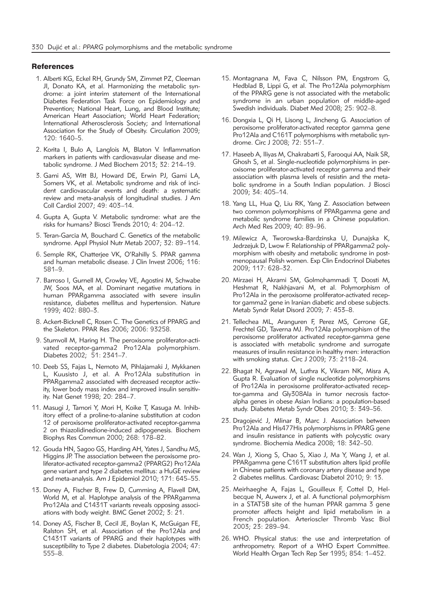#### **References**

- 1. Alberti KG, Eckel RH, Grundy SM, Zimmet PZ, Cleeman JI, Donato KA, et al. Harmonizing the metabolic syndrome: a joint interim statement of the International Diabetes Federation Task Force on Epidemiology and Prevention; National Heart, Lung, and Blood Institute; American Heart Association; World Heart Federation; International Atherosclerosis Society; and International Association for the Study of Obesity. Circulation 2009; 120: 1640–5.
- 2. Korita I, Bulo A, Langlois M, Blaton V. Inflammation markers in patients with cardiovasvular disease and metabolic syndrome. J Med Biochem 2013; 32: 214–19.
- 3. Gami AS, Witt BJ, Howard DE, Erwin PJ, Gami LA, Somers VK, et al. Metabolic syndrome and risk of incident cardiovascular events and death: a systematic review and meta-analysis of longitudinal studies. J Am Coll Cardiol 2007; 49: 403–14.
- 4. Gupta A, Gupta V. Metabolic syndrome: what are the risks for humans? Biosci Trends 2010; 4: 204–12.
- 5. Teran-Garcia M, Bouchard C. Genetics of the metabolic syndrome. Appl Physiol Nutr Metab 2007; 32: 89–114.
- 6. Semple RK, Chatterjee VK, O'Rahilly S. PPAR gamma and human metabolic disease. J Clin Invest 2006; 116: 581–9.
- 7. Barroso I, Gurnell M, Crowley VE, Agostini M, Schwabe JW, Soos MA, et al. Dominant negative mutations in human PPARgamma associated with severe insulin resistance, diabetes mellitus and hypertension. Nature 1999; 402: 880–3.
- 8. Ackert-Bicknell C, Rosen C. The Genetics of PPARG and the Skeleton. PPAR Res 2006; 2006: 93258.
- 9. Stumvoll M, Haring H. The peroxisome proliferator-activated receptor-gamma2 Pro12Ala polymorphism. Diabetes 2002; 51: 2341–7.
- 10. Deeb SS, Fajas L, Nemoto M, Pihlajamaki J, Mykkanen L, Kuusisto J, et al. A Pro12Ala substitution in PPARgamma2 associated with decreased receptor activity, lower body mass index and improved insulin sensitivity. Nat Genet 1998; 20: 284–7.
- 11. Masugi J, Tamori Y, Mori H, Koike T, Kasuga M. Inhibitory effect of a proline-to-alanine substitution at codon 12 of peroxisome proliferator-activated receptor-gamma 2 on thiazolidinedione-induced adipogenesis. Biochem Biophys Res Commun 2000; 268: 178–82.
- 12. Gouda HN, Sagoo GS, Harding AH, Yates J, Sandhu MS, Higgins JP. The association between the peroxisome proliferator-activated receptor-gamma2 (PPARG2) Pro12Ala gene variant and type 2 diabetes mellitus: a HuGE review and meta-analysis. Am J Epidemiol 2010; 171: 645–55.
- 13. Doney A, Fischer B, Frew D, Cumming A, Flavell DM, World M, et al. Haplotype analysis of the PPARgamma Pro12Ala and C1431T variants reveals opposing associations with body weight. BMC Genet 2002; 3: 21.
- 14. Doney AS, Fischer B, Cecil JE, Boylan K, McGuigan FE, Ralston SH, et al. Association of the Pro12Ala and C1431T variants of PPARG and their haplotypes with susceptibility to Type 2 diabetes. Diabetologia 2004; 47: 555–8.
- 15. Montagnana M, Fava C, Nilsson PM, Engstrom G, Hedblad B, Lippi G, et al. The Pro12Ala polymorphism of the PPARG gene is not associated with the metabolic syndrome in an urban population of middle-aged Swedish individuals. Diabet Med 2008; 25: 902–8.
- 16. Dongxia L, Qi H, Lisong L, Jincheng G. Association of peroxisome proliferator-activated receptor gamma gene Pro12Ala and C161T polymorphisms with metabolic syndrome. Circ J 2008; 72: 551–7.
- 17. Haseeb A, Iliyas M, Chakrabarti S, Farooqui AA, Naik SR, Ghosh S, et al. Single-nucleotide polymorphisms in peroxisome proliferator-activated receptor gamma and their association with plasma levels of resistin and the metabolic syndrome in a South Indian population. J Biosci 2009; 34: 405–14.
- 18. Yang LL, Hua Q, Liu RK, Yang Z. Association between two common polymorphisms of PPARgamma gene and metabolic syndrome families in a Chinese population. Arch Med Res 2009; 40: 89–96.
- 19. Milewicz A, Tworowska-Bardzinska U, Dunajska K, Jedrzejuk D, Lwow F. Relationship of PPARgamma2 polymorphism with obesity and metabolic syndrome in postmenopausal Polish women. Exp Clin Endocrinol Diabetes 2009; 117: 628–32.
- 20. Mirzaei H, Akrami SM, Golmohammadi T, Doosti M, Heshmat R, Nakhjavani M, et al. Polymorphism of Pro12Ala in the peroxisome proliferator-activated receptor gamma2 gene in Iranian diabetic and obese subjects. Metab Syndr Relat Disord 2009; 7: 453–8.
- 21. Tellechea ML, Aranguren F, Perez MS, Cerrone GE, Frechtel GD, Taverna MJ. Pro12Ala polymorphism of the peroxisome proliferator activated receptor-gamma gene is associated with metabolic syndrome and surrogate measures of insulin resistance in healthy men: interaction with smoking status. Circ J 2009; 73: 2118–24.
- 22. Bhagat N, Agrawal M, Luthra K, Vikram NK, Misra A, Gupta R. Evaluation of single nucleotide polymorphisms of Pro12Ala in peroxisome proliferator-activated receptor-gamma and Gly308Ala in tumor necrosis factoralpha genes in obese Asian Indians: a population-based study. Diabetes Metab Syndr Obes 2010; 3: 349–56.
- 23. Dragojević J, Mlinar B, Marc J. Association between Pro12Ala and His477His polymorphisms in PPARG gene and insulin resistance in patients with polycystic ovary syndrome. Biochemia Medica 2008; 18: 342–50.
- 24. Wan J, Xiong S, Chao S, Xiao J, Ma Y, Wang J, et al. PPARgamma gene C161T substitution alters lipid profile in Chinese patients with coronary artery disease and type 2 diabetes mellitus. Cardiovasc Diabetol 2010; 9: 13.
- 25. Meirhaeghe A, Fajas L, Gouilleux F, Cottel D, Helbecque N, Auwerx J, et al. A functional polymorphism in a STAT5B site of the human PPAR gamma 3 gene promoter affects height and lipid metabolism in a French population. Arterioscler Thromb Vasc Biol 2003; 23: 289–94.
- 26. WHO. Physical status: the use and interpretation of anthropometry. Report of a WHO Expert Committee. World Health Organ Tech Rep Ser 1995; 854: 1–452.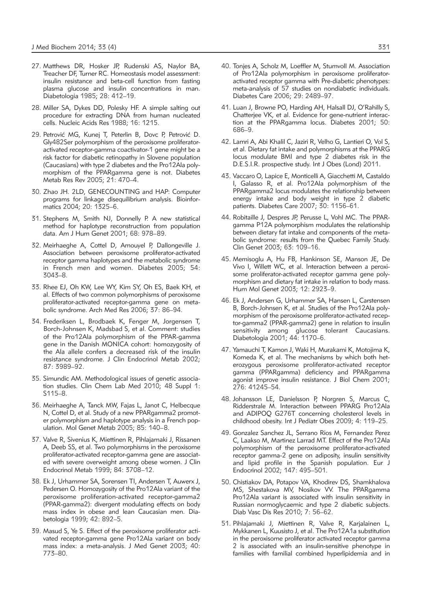- 27. Matthews DR, Hosker JP, Rudenski AS, Naylor BA, Treacher DF, Turner RC. Homeostasis model assessment: insulin resistance and beta-cell function from fasting plasma glucose and insulin concentrations in man. Diabetologia 1985; 28: 412–19.
- 28. Miller SA, Dykes DD, Polesky HF. A simple salting out procedure for extracting DNA from human nucleated cells. Nucleic Acids Res 1988; 16: 1215.
- 29. Petrović MG, Kunej T, Peterlin B, Dovc P, Petrović D. Gly482Ser polymorphism of the peroxisome proliferatoractivated receptor-gamma coactivator-1 gene might be a risk factor for diabetic retinopathy in Slovene population (Caucasians) with type 2 diabetes and the Pro12Ala polymorphism of the PPARgamma gene is not. Diabetes Metab Res Rev 2005; 21: 470–4.
- 30. Zhao JH. 2LD, GENECOUNTING and HAP: Computer programs for linkage disequilibrium analysis. Bioinformatics 2004; 20: 1325–6.
- 31. Stephens M, Smith NJ, Donnelly P. A new statistical method for haplotype reconstruction from population data. Am J Hum Genet 2001; 68: 978–89.
- 32. Meirhaeghe A, Cottel D, Amouyel P, Dallongeville J. Association between peroxisome proliferator-activated receptor gamma haplotypes and the metabolic syndrome in French men and women. Diabetes 2005; 54: 3043–8.
- 33. Rhee EJ, Oh KW, Lee WY, Kim SY, Oh ES, Baek KH, et al. Effects of two common polymorphisms of peroxisome proliferator-activated receptor-gamma gene on metabolic syndrome. Arch Med Res 2006; 37: 86–94.
- 34. Frederiksen L, Brodbaek K, Fenger M, Jorgensen T, Borch-Johnsen K, Madsbad S, et al. Comment: studies of the Pro12Ala polymorphism of the PPAR-gamma gene in the Danish MONICA cohort: homozygosity of the Ala allele confers a decreased risk of the insulin resistance syndrome. J Clin Endocrinol Metab 2002; 87: 3989–92.
- 35. Simundic AM. Methodological issues of genetic association studies. Clin Chem Lab Med 2010; 48 Suppl 1: S115–8.
- 36. Meirhaeghe A, Tanck MW, Fajas L, Janot C, Helbecque N, Cottel D, et al. Study of a new PPARgamma2 promoter polymorphism and haplotype analysis in a French population. Mol Genet Metab 2005; 85: 140–8.
- 37. Valve R, Sivenius K, Miettinen R, Pihlajamaki J, Rissanen A, Deeb SS, et al. Two polymorphisms in the peroxisome proliferator-activated receptor-gamma gene are associated with severe overweight among obese women. J Clin Endocrinol Metab 1999; 84: 3708–12.
- 38. Ek J, Urhammer SA, Sorensen TI, Andersen T, Auwerx J, Pedersen O. Homozygosity of the Pro12Ala variant of the peroxisome proliferation-activated receptor-gamma2 (PPAR-gamma2): divergent modulating effects on body mass index in obese and lean Caucasian men. Diabetologia 1999; 42: 892–5.
- 39. Masud S, Ye S. Effect of the peroxisome proliferator activated receptor-gamma gene Pro12Ala variant on body mass index: a meta-analysis. J Med Genet 2003; 40: 773–80.
- 40. Tonjes A, Scholz M, Loeffler M, Stumvoll M. Association of Pro12Ala polymorphism in peroxisome proliferatoractivated receptor gamma with Pre-diabetic phenotypes: meta-analysis of 57 studies on nondiabetic individuals. Diabetes Care 2006; 29: 2489–97.
- 41. Luan J, Browne PO, Harding AH, Halsall DJ, O'Rahilly S, Chatterjee VK, et al. Evidence for gene-nutrient interaction at the PPARgamma locus. Diabetes 2001; 50: 686–9.
- 42. Lamri A, Abi Khalil C, Jaziri R, Velho G, Lantieri O, Vol S, et al. Dietary fat intake and polymorphisms at the PPARG locus modulate BMI and type 2 diabetes risk in the D.E.S.I.R. prospective study. Int J Obes (Lond) 2011.
- 43. Vaccaro O, Lapice E, Monticelli A, Giacchetti M, Castaldo I, Galasso R, et al. Pro12Ala polymorphism of the PPARgamma2 locus modulates the relationship between energy intake and body weight in type 2 diabetic patients. Diabetes Care 2007; 30: 1156–61.
- 44. Robitaille J, Despres JP, Perusse L, Vohl MC. The PPARgamma P12A polymorphism modulates the relationship between dietary fat intake and components of the metabolic syndrome: results from the Quebec Family Study. Clin Genet 2003; 63: 109–16.
- 45. Memisoglu A, Hu FB, Hankinson SE, Manson JE, De Vivo I, Willett WC, et al. Interaction between a peroxisome proliferator-activated receptor gamma gene polymorphism and dietary fat intake in relation to body mass. Hum Mol Genet 2003; 12: 2923–9.
- 46. Ek J, Andersen G, Urhammer SA, Hansen L, Carstensen B, Borch-Johnsen K, et al. Studies of the Pro12Ala polymorphism of the peroxisome proliferator-activated receptor-gamma2 (PPAR-gamma2) gene in relation to insulin sensitivity among glucose tolerant Caucasians. Diabetologia 2001; 44: 1170–6.
- 47. Yamauchi T, Kamon J, Waki H, Murakami K, Motojima K, Komeda K, et al. The mechanisms by which both heterozygous peroxisome proliferator-activated receptor gamma (PPARgamma) deficiency and PPARgamma agonist improve insulin resistance. J Biol Chem 2001; 276: 41245–54.
- 48. Johansson LE, Danielsson P, Norgren S, Marcus C, Ridderstrale M. Interaction between PPARG Pro12Ala and ADIPOQ G276T concerning cholesterol levels in childhood obesity. Int J Pediatr Obes 2009; 4: 119–25.
- 49. Gonzalez Sanchez JL, Serrano Rios M, Fernandez Perez C, Laakso M, Martinez Larrad MT. Effect of the Pro12Ala polymorphism of the peroxisome proliferator-activated receptor gamma-2 gene on adiposity, insulin sensitivity and lipid profile in the Spanish population. Eur J Endocrinol 2002; 147: 495–501.
- 50. Chistiakov DA, Potapov VA, Khodirev DS, Shamkhalova MS, Shestakova MV, Nosikov VV. The PPARgamma Pro12Ala variant is associated with insulin sensitivity in Russian normoglycaemic and type 2 diabetic subjects. Diab Vasc Dis Res 2010; 7: 56–62.
- 51. Pihlajamaki J, Miettinen R, Valve R, Karjalainen L, Mykkanen L, Kuusisto J, et al. The Pro12A1a substitution in the peroxisome proliferator activated receptor gamma 2 is associated with an insulin-sensitive phenotype in families with familial combined hyperlipidemia and in